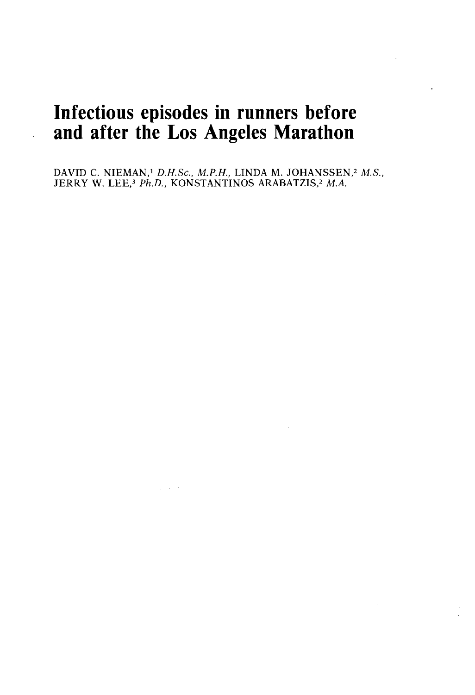# **Infectious episodes in runners before and after the Los Angeles Marathon**

 $\ddot{\phantom{a}}$ 

DAVID C. NIEMAN,' *D.H.Sc., M.P.H.,* LINDA M. JOHANSSEN,2 *M.S.,*  JERRY W. LEE,<sup>3</sup> *Ph.D.*, KONSTANTINOS ARABATZIS,<sup>2</sup> M.A.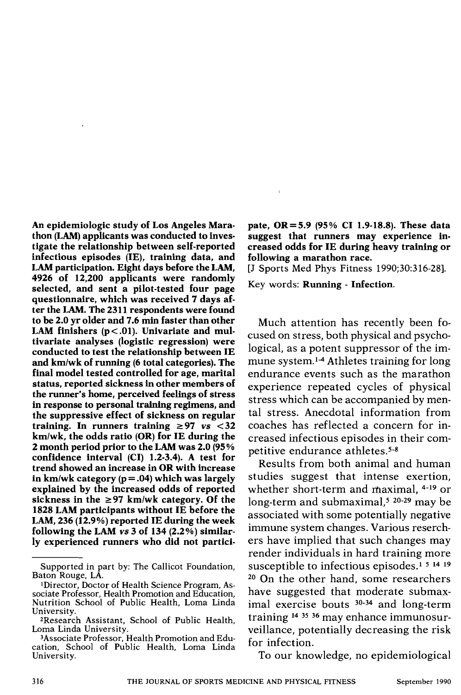An epidemiologic study of Los Angeles Mara- pate, OR = 5.9 (95% CI 1.9-18.8). These data<br>thon (LAM) applicants was conducted to inves- suggest that runners may experience inthon (LAM) applicants was conducted to inves- suggest that runners may experience in-<br>tigate the relationship between self-reported creased odds for IE during heavy training or infectious episodes (IE), training data, and LAM participation. Eight days before the LAM. 4926 of 12,200 applicants were randomly<br>colorted and cant a pilot tested four negative Rey words: **Running - Infection.** selected, and sent a pilot-tested four page questionnaire, which was received 7 days after the LAM. The 2311 respondents were found to be 2.0 yr older and 7.6 min faster than other LAM finishers  $(p < .01)$ . Univariate and multivariate analyses (logistic regression) were conducted to test the relationship between IE and kmlwk of running (6 total categories). The final model tested controlled for age, marital status, reported sickness in other members of the runner's home, perceived feelings of stress in response to personal training regimens, and the suppressive effect of sickness on regular training. In runners training  $\geq 97$  *vs*  $\lt 32$ kmlwk, the odds ratio (OR) for IE during the **2** month period prior to the LAM was 2.0 (95 % confidence interval (CI) 1.2-3.4). A test for trend showed an increase in OR with increase in km/wk category  $(p = .04)$  which was largely explained by the increased odds of reported sickness in the  $\geq$ 97 km/wk category. Of the 1828 LAM participants without IE before the LAM, 236 (12.9%) reported IE during the week following the LAM **vs** 3 of 134 (2.2%) similarly experienced runners who did not partici-

creased odds for IE during heavy training or<br>following a marathon race.

[J Sports Med Phys Fitness 1990:30:316-28].

Much attention has recently been focused on stress, both physical and psychological, as a potent suppressor of the immune system.<sup>14</sup> Athletes training for long endurance events such as the marathon experience repeated cycles of physical stress which can be accompanied by mental stress. Anecdotal information from coaches has reflected a concern for increased infectious episodes in their competitive endurance athletes.5-8

Results from both animal and human studies suggest that intense exertion, whether short-term and maximal, 4-19 or long-term and submaximal,<sup>5</sup> 20-29 may be associated with some potentially negative immune system changes. Various reserchers have implied that such changes may render individuals in hard training more susceptible to infectious episodes.<sup>1 5 14 19</sup> **<sup>20</sup>**On the other hand, some researchers have suggested that moderate submaximal exercise bouts <sup>30-34</sup> and long-term training l4 35 36 may enhance immunosurveillance, potentially decreasing the risk for infection.

To our knowledge, no epidemiological

Supported in part by: The Callicot Foundation, Baton Rouge, LA.

<sup>&#</sup>x27;Director, Doctor of Health Science Program, Associate Professor, Health Promotion and Education, Nutrition School of Public Health, Loma Linda University.

<sup>&</sup>lt;sup>2</sup>Research Assistant, School of Public Health, Loma Linda University.

<sup>3</sup>Associate Professor, Health Promotion and Education, School of Public Health, Loma Linda University.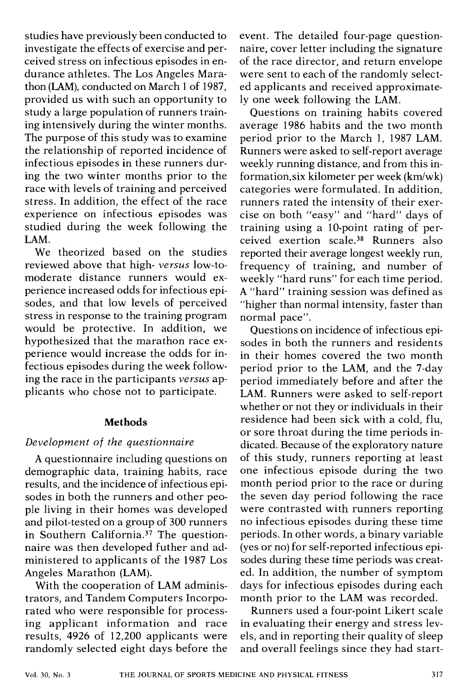studies have previously been conducted to investigate the effects of exercise and perceived stress on infectious episodes in endurance athletes. The Los Angeles Marathon (LAM), conducted on March 1 of 1987, provided us with such an opportunity to study a large population of runners training intensively during the winter months. The purpose of this study was to examine the relationship of reported incidence of infectious episodes in these runners during the two winter months prior to the race with levels of training and perceived stress. In addition, the effect of the race experience on infectious episodes was studied during the week following the LAM.

We theorized based on the studies reviewed above that high- *versus* low-tomoderate distance runners would experience increased odds for infectious episodes, and that low levels of perceived stress in response to the training program would be protective. In addition, we hypothesized that the marathon race experience would increase the odds for infectious episodes during the week following the race in the participants *versus* applicants who chose not to participate.

#### **Methods**

#### *Development of the questionnaire*

A questionnaire including questions on demographic data, training habits, race results, and the incidence of infectious episodes in both the runners and other people living in their homes was developed and pilot-tested on a group of 300 runners in Southern California. $37$  The questionnaire was then developed futher and administered to applicants of the 1987 Los Angeles Marathon (LAM).

With the cooperation of LAM administrators, and Tandem Computers Incorporated who were responsible for processing applicant information and race results, 4926 of 12,200 applicants were randomly selected eight days before the

event. The detailed four-page questionnaire, cover letter including the signature of the race director, and return envelope were sent to each of the randomly selected applicants and received approximately one week following the LAM.

Questions on training habits covered average 1986 habits and the two month period prior to the March 1, 1987 LAM. Runners were asked to self-report average weekly running distance, and from this information, six kilometer per week (km/wk) categories were formulated. In addition, runners rated the intensity of their exercise on both "easy" and "hard" days of training using a 10-point rating of perceived exertion scale.38 Runners also reported their average longest weekly run, frequency of training, and number of weekly "hard runs" for each time period. A "hard" training session was defined as "higher than normal intensity, faster than normal pace".

Questions on incidence of infectious episodes in both the runners and residents in their homes covered the two month period prior to the LAM, and the 7-day period immediately before and after the LAM. Runners were asked to self-report whether or not they or individuals in their residence had been sick with a cold, flu, or sore throat during the time periods indicated. Because of the exploratory nature of this study, runners reporting at least one infectious episode during the two month period prior to the race or during the seven day period following the race were contrasted with runners reporting no infectious episodes during these time periods. In other words, a binary variable (yes or no) for self-reported infectious episodes during these time periods was created. In addition, the number of symptom days for infectious episodes during each month prior to the LAM was recorded.

Runners used a four-point Likert scale in evaluating their energy and stress levels, and in reporting their quality of sleep and overall feelings since they had start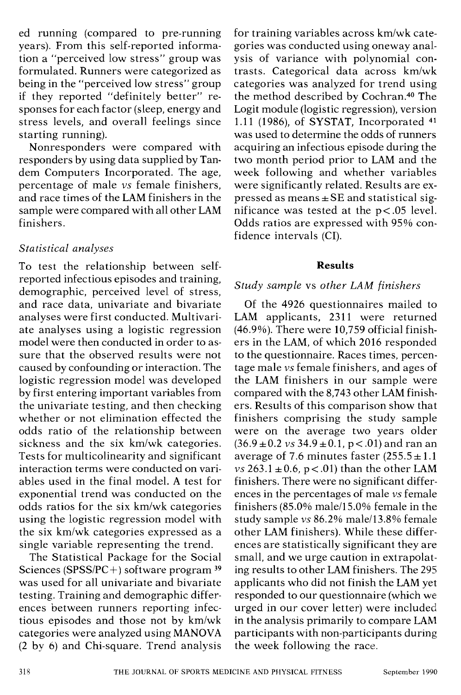ed running (compared to pre-running years). From this self-reported information a "perceived low stress" group was formulated. Runners were categorized as being in the "perceived low stress" group if they reported "definitely better" responses for each factor (sleep, energy and stress levels, and overall feelings since starting running).

Nonresponders were compared with responders by using data supplied by Tandem Computers Incorporated. The age, percentage of male *vs* female finishers, and race times of the LAM finishers in the sample were compared with all other LAM finishers.

# *Statistical analyses*

To test the relationship between selfreported infectious episodes and training, demographic, perceived level of stress. and race data, univariate and bivariate analyses were first conducted. Multivariate analyses using a logistic regression model were then conducted in order to assure that the observed results were not caused by confounding or interaction. The logistic regression model was developed by first entering important variables from the univariate testing, and then checking whether or not elimination effected the odds ratio of the relationship between sickness and the six km/wk categories. Tests for multicolinearity and significant interaction terms were conducted on variables used in the final model. A test for exponential trend was conducted on the odds ratios for the six km/wk categories using the logistic regression model with the six km/wk categories expressed as a single variable representing the trend.

The Statistical Package for the Social Sciences (SPSSIPC+) software program **<sup>39</sup>** was used for all univariare and bivariate testing. Training and demographic differences between runners reporting infectious episodes and those not by km/wk categories were analyzed using MANOVA (2 by 6) and Chi-square. Trend analysis

for training variables across km/wk categories was conducted using oneway analysis of variance with polynomial contrasts. Categorical data across kmlwk categories was analyzed for trend using the method described by Cochran.40 The Logit module (logistic regression), version 1.11 (1986), of SYSTAT, Incorporated  $41$ was used to determine the odds of runners acquiring an infectious episode during the two month period prior to LAM and the week following and whether variables were significantly related. Results are expressed as means  $\pm$  SE and statistical significance was tested at the p<.05 level. Odds ratios are expressed with 95% confidence intervals (CI).

#### **Results**

### *Study sample* vs *other LAM finishers*

Of the 4926 questionnaires mailed to LAM applicants, 2311 were returned (46.9%). There were 10,759 official finishers in the LAM, of which 2016 responded to the questionnaire. Races times, percentage male *vs* female finishers, and ages of the LAM finishers in our sample were compared with the 8,743 other LAM finishers. Results of this comparison show that finishers comprising the study sample were on the average two years older  $(36.9 \pm 0.2 \text{ vs } 34.9 \pm 0.1, \text{ p} < .01)$  and ran an average of 7.6 minutes faster  $(255.5 \pm 1.1)$  $\overline{v}$ s 263.1 ± 0.6, p < .01) than the other LAM finishers. There were no significant differences in the percentages of male *vs* female finishers  $(85.0\% \text{ male}/15.0\% \text{ female in the}$ study sample *vs* 86.2% male/13.8% female other LAM finishers). While these differences are statistically significant they are small, and we urge caution in extrapolating results to other LAM finishers. The 295 applicants who did not finish the LAM yet responded to our questionnaire (which we urged in our cover letter) were included in the analysis primarily to compare LAhl participants with non-participants during the week following the race.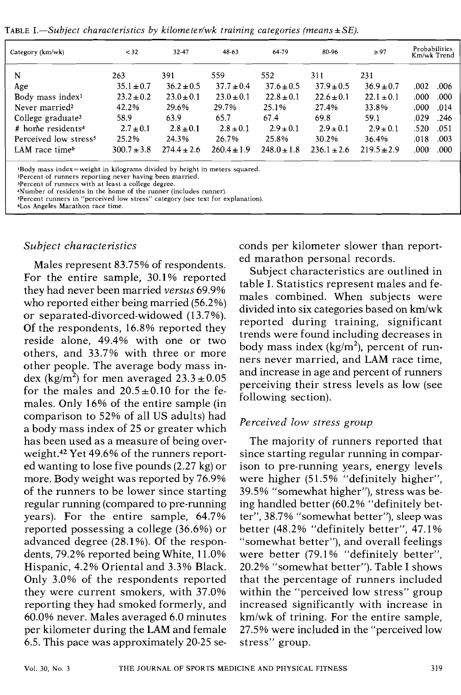TABLE I.—Subject characteristics by kilometer/wk training categories (means  $\pm$  SE).

| Category (km/wk)                  | < 32            | 32-47          | 48-63           | 64-79          | 80-96          | $\geq 97$       | Probabilities<br>Km/wk Trend |
|-----------------------------------|-----------------|----------------|-----------------|----------------|----------------|-----------------|------------------------------|
| N                                 | 263             | 391            | 559             | 552            | 311            | 231             |                              |
| Age                               | $35.1 \pm 0.7$  | $36.2 \pm 0.5$ | $37.7 \pm 0.4$  | $37.6 \pm 0.5$ | $37.9 \pm 0.5$ | $36.9 \pm 0.7$  | .006<br>.002                 |
| Body mass index <sup>1</sup>      | $23.2 \pm 0.2$  | $23.0 \pm 0.1$ | $23.0 \pm 0.1$  | $22.8 \pm 0.1$ | $22.6 \pm 0.1$ | $22.1 \pm 0.1$  | .000<br>.000                 |
| Never married <sup>2</sup>        | 42.2%           | 29.6%          | 29.7%           | 25.1%          | 27.4%          | 33.8%           | .000<br>.014                 |
| College graduate <sup>3</sup>     | 58.9            | 63.9           | 65.7            | 67.4           | 69.8           | 59.1            | .029<br>.246                 |
| # home residents <sup>4</sup>     | $2.7 \pm 0.1$   | $2.8 \pm 0.1$  | $2.8 \pm 0.1$   | $2.9 \pm 0.1$  | $2.9 \pm 0.1$  | $2.9 \pm 0.1$   | .520<br>.051                 |
| Perceived low stress <sup>5</sup> | 25.2%           | 24.3%          | 26.7%           | 25.8%          | 30.2%          | 36.4%           | .003<br>.018                 |
| LAM race time <sup>6</sup>        | $300.7 \pm 3.8$ | $274.4 + 2.6$  | $260.4 \pm 1.9$ | $248.0 + 1.8$  | $236.1 + 2.6$  | $219.5 \pm 2.9$ | .000<br>.000                 |

lBody mass index=weight in kilograms divided by height in meters squared.

ZPercent of runners reporting never having been married.

Percent of runners with at least a college degree.

4Number of residents in the home of the runner (includes runner).

JPercent runners in "perceived low stress" category (see text for explanation).

~LOS Angeles Marathon race time.

Males represent 83.75% of respondents. For the entire sample, 30.1% reported they had never been married *versus* 69.9% who reported either being married (56.2%) or separated-divorced-widowed (13.7%). Of the respondents, 16.8% reported they reside alone, 49.4% with one or two others, and 33.7% with three or more other people. The average body mass index (kg/m<sup>2</sup>) for men averaged  $23.3 \pm 0.05$ for the males and  $20.5 \pm 0.10$  for the females. Only 16% of the entire sample (in comparison to 52% of all US adults) had a body mass index of 25 or greater which has been used as a measure of being overweight.42 Yet 49.6% of the runners reported wanting to lose five pounds (2.27 kg) or more. Body weight was reported by 76.9% of the runners to be lower since starting regular running (compared to pre-running years). For the entire sample, 64.7% reported possessing a college (36.6%) or advanced degree (28.1 %). Of the respondents, 79.2% reported being White, 11.0% Hispanic, 4.2% Oriental and 3.3% Black. Only 3.0% of the respondents reported they were current smokers, with 37.0% reporting they had smoked formerly, and 60.0% never. Males averaged 6.0 minutes per kilometer during the LAM and female 6.5. This pace was approximately 20-25 se-

*Subject characteristics* ends per kilometer slower than reported marathon personal records.

> Subject characteristics are outlined in table I. Statistics represent males and females combined. When subjects were divided into six categories based on km/wk reported during training, significant trends were found including decreases in body mass index  $(kg/m^2)$ , percent of runners never married, and LAM race time, and increase in age and percent of runners perceiving their stress levels as low (see following section).

#### *Perceived low stress group*

The majority of runners reported that since starting regular running in comparison to pre-running years, energy levels were higher (51.5% "definitely higher", 39.5% "somewhat higher"), stress was being handled better (60.2% "definitely better", 38.7% "somewhat better"), sleep was better (48.2% "definitely better", 47.1 % "somewhat better"), and overall feelings were better (79.1% "definitely better", 20.2% "somewhat better"). Table I shows that the percentage of runners included within the "perceived low stress" group increased significantly with increase in km/wk of trining. For the entire sample, 27.5% were included in the "perceived low stress" group.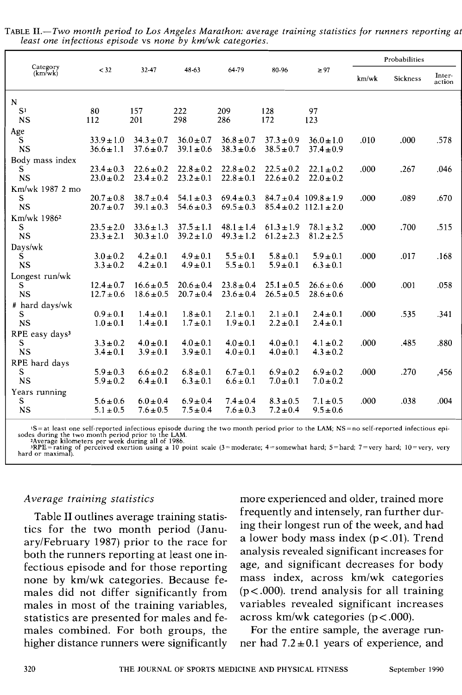|                            |                |                |                |                |                |                                |       | Probabilities |                  |
|----------------------------|----------------|----------------|----------------|----------------|----------------|--------------------------------|-------|---------------|------------------|
| Category<br>(km/wk)        | < 32           | 32-47          | 48-63          | 64-79          | 80-96          | $\geq 97$                      | km/wk | Sickness      | Inter-<br>action |
| N                          |                |                |                |                |                |                                |       |               |                  |
| S <sub>1</sub>             | 80             | 157            | 222            | 209            | 128            | 97                             |       |               |                  |
| <b>NS</b>                  | 112            | 201            | 298            | 286            | 172            | 123                            |       |               |                  |
| Age                        |                |                |                |                |                |                                |       |               |                  |
| S                          | $33.9 \pm 1.0$ | $34.3 \pm 0.7$ | $36.0 \pm 0.7$ | $36.8 \pm 0.7$ | $37.3 \pm 0.9$ | $36.0 \pm 1.0$                 | .010  | .000          | .578             |
| <b>NS</b>                  | $36.6 \pm 1.1$ | $37.6 \pm 0.7$ | $39.1 \pm 0.6$ | $38.3 \pm 0.6$ | $38.5 \pm 0.7$ | $37.4 \pm 0.9$                 |       |               |                  |
| Body mass index            |                |                |                |                |                |                                |       |               |                  |
| S                          | $23.4 \pm 0.3$ | $22.6 \pm 0.2$ | $22.8 \pm 0.2$ | $22.8 \pm 0.2$ | $22.5 \pm 0.2$ | $22.1 \pm 0.2$                 | .000  | .267          | .046             |
| <b>NS</b>                  | $23.0 \pm 0.2$ | $23.4 \pm 0.2$ | $23.2 \pm 0.1$ | $22.8 \pm 0.1$ | $22.6 \pm 0.2$ | $22.0 \pm 0.2$                 |       |               |                  |
| Km/wk 1987 2 mo            |                |                |                |                |                |                                |       |               |                  |
| S                          | $20.7 \pm 0.8$ | $38.7 \pm 0.4$ | $54.1 \pm 0.3$ | $69.4 \pm 0.3$ |                | $84.7 \pm 0.4$ $109.8 \pm 1.9$ | .000  | .089          | .670             |
| <b>NS</b>                  | $20.7 \pm 0.7$ | $39.1 \pm 0.3$ | $54.6 \pm 0.3$ | $69.5 \pm 0.3$ |                | $85.4 \pm 0.2$ 112.1 $\pm 2.0$ |       |               |                  |
| Km/wk 1986 <sup>2</sup>    |                |                |                |                |                |                                |       |               |                  |
| S                          | $23.5 \pm 2.0$ | $33.6 \pm 1.3$ | $37.5 \pm 1.1$ | $48.1 \pm 1.4$ | $61.3 \pm 1.9$ | $78.1 \pm 3.2$                 | .000  | .700          | .515             |
| <b>NS</b>                  | $23.3 \pm 2.1$ | $30.3 \pm 1.0$ | $39.2 \pm 1.0$ | $49.3 \pm 1.2$ | $61.2 \pm 2.3$ | $81.2 \pm 2.5$                 |       |               |                  |
| Days/wk                    |                |                |                |                |                |                                |       |               |                  |
| S                          | $3.0 \pm 0.2$  | $4.2 \pm 0.1$  | $4.9 \pm 0.1$  | $5.5 \pm 0.1$  | $5.8 \pm 0.1$  | $5.9 \pm 0.1$                  | .000  | .017          | .168             |
| <b>NS</b>                  | $3.3 \pm 0.2$  | $4.2 \pm 0.1$  | $4.9 \pm 0.1$  | $5.5 \pm 0.1$  | $5.9 \pm 0.1$  | $6.3 \pm 0.1$                  |       |               |                  |
| Longest run/wk             |                |                |                |                |                |                                |       |               |                  |
| S                          | $12.4 \pm 0.7$ | $16.6 \pm 0.5$ | $20.6 \pm 0.4$ | $23.8 \pm 0.4$ | $25.1 \pm 0.5$ | $26.6 \pm 0.6$                 | .000  | .001          | .058             |
| <b>NS</b>                  | $12.7 \pm 0.6$ | $18.6 \pm 0.5$ | $20.7 \pm 0.4$ | $23.6 \pm 0.4$ | $26.5 \pm 0.5$ | $28.6 \pm 0.6$                 |       |               |                  |
| # hard days/wk             |                |                |                |                |                |                                |       |               |                  |
| S                          | $0.9 \pm 0.1$  | $1.4 \pm 0.1$  | $1.8 \pm 0.1$  | $2.1 \pm 0.1$  | $2.1 \pm 0.1$  | $2.4 \pm 0.1$                  | .000  | .535          | -341             |
| <b>NS</b>                  | $1.0 \pm 0.1$  | $1.4 \pm 0.1$  | $1.7 \pm 0.1$  | $1.9 \pm 0.1$  | $2.2 \pm 0.1$  | $2.4 \pm 0.1$                  |       |               |                  |
| RPE easy days <sup>3</sup> |                |                |                |                |                |                                |       |               |                  |
| S                          | $3.3 \pm 0.2$  | $4.0 \pm 0.1$  | $4.0 \pm 0.1$  | $4.0 \pm 0.1$  | $4.0 \pm 0.1$  | $4.1 \pm 0.2$                  | .000  | .485          | .880             |
| <b>NS</b>                  | $3.4 \pm 0.1$  | $3.9 \pm 0.1$  | $3.9 \pm 0.1$  | $4.0 \pm 0.1$  | $4.0 \pm 0.1$  | $4.3 \pm 0.2$                  |       |               |                  |
| RPE hard days              |                |                |                |                |                |                                |       |               |                  |
| S                          | $5.9 \pm 0.3$  | $6.6 \pm 0.2$  | $6.8 \pm 0.1$  | $6.7 \pm 0.1$  | $6.9 \pm 0.2$  | $6.9 \pm 0.2$                  | .000  | .270          | .456             |
| <b>NS</b>                  | $5.9 \pm 0.2$  | $6.4 \pm 0.1$  | $6.3 \pm 0.1$  | $6.6 \pm 0.1$  | $7.0 \pm 0.1$  | $7.0 \pm 0.2$                  |       |               |                  |
| Years running              |                |                |                |                |                |                                |       |               |                  |
| S                          | $5.6 \pm 0.6$  | $6.0 \pm 0.4$  | $6.9 \pm 0.4$  | $7.4 \pm 0.4$  | $8.3 \pm 0.5$  | $7.1 \pm 0.5$                  | .000  | .038          | .004             |
| <b>NS</b>                  | $5.1 \pm 0.5$  | $7.6 \pm 0.5$  | $7.5 \pm 0.4$  | $7.6 \pm 0.3$  | $7.2 \pm 0.4$  | $9.5 \pm 0.6$                  |       |               |                  |
|                            |                |                |                |                |                |                                |       |               |                  |

TABLE *11.-Two month period to Los Angeles Marathon: average training statistics for runners reporting a1 least one infectious episode* vs *none by kmlwk categories.* 

 $1S$  = at least one self-reported infectious episode during the two month period prior to the LAM; NS = no self-reported infectious episodes during the two month period prior to the LAM.<br>
2Average kilometers per week duri

#### *Average training statistics*

Table I1 outlines average training statistics for the two month period (JanuaryIFebruary 1987) prior to the race for both the runners reporting at least one infectious episode and for those reporting none by km/wk categories. Because females did not differ significantly from males in most of the training variables, statistics are presented for males and females combined. For both groups, the higher distance runners were significantly more experienced and older, trained more frequently and intensely, ran further during their longest run of the week, and had a lower body mass index  $(p < .01)$ . Trend analysis revealed significant increases for age, and significant decreases for body mass index, across km/wk categories  $(p < .000)$ . trend analysis for all training variables revealed significant increases across km/wk categories ( $p < .000$ ).

For the entire sample, the average runner had  $7.2 \pm 0.1$  years of experience, and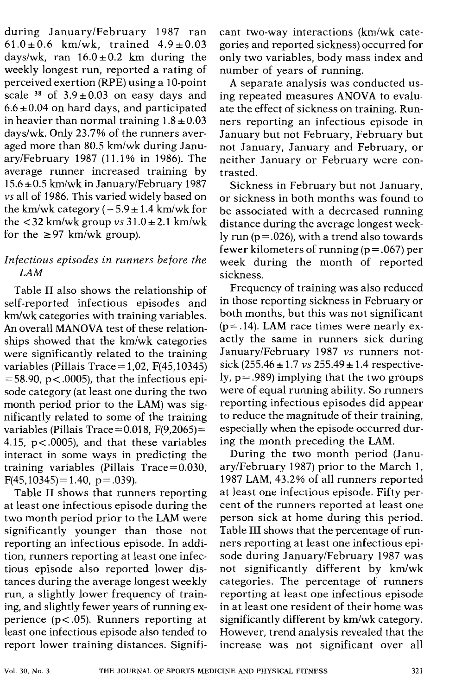during JanuarylFebruary 1987 ran  $61.0 \pm 0.6$  km/wk, trained  $4.9 \pm 0.03$ days/wk, ran  $16.0 \pm 0.2$  km during the weekly longest run, reported a rating of perceived exertion (RPE) using a 10-point scale <sup>38</sup> of  $3.9 \pm 0.03$  on easy days and  $6.6 \pm 0.04$  on hard days, and participated in heavier than normal training  $1.8 \pm 0.03$ dayslwk. Only 23.7% of the runners averaged more than 80.5 km/wk during January/February 1987 (11.1% in 1986). The average runner increased training by  $15.6 \pm 0.5$  km/wk in January/February 1987 *vs* all of 1986. This varied widely based on the km/wk category  $(-5.9 \pm 1.4 \text{ km/wk}$  for the  $\lt 32$  km/wk group *vs*  $31.0 \pm 2.1$  km/wk for the  $\geq 97$  km/wk group).

#### *Infectious episodes in runners before the LAM*

Table I1 also shows the relationship of self-reported infectious episodes and  $km/wk$  categories with training variables. An overall MANOVA test of these relationships showed that the km/wk categories were significantly related to the training variables (Pillais Trace = 1,02,  $F(45, 10345)$  $= 58.90$ , p < .0005), that the infectious episode category (at least one during the two month period prior to the LAM) was significantly related to some of the training variables (Pillais Trace =  $0.018$ , F(9,2065) = 4.15,  $p < .0005$ ), and that these variables interact in some ways in predicting the training variables (Pillais  $Trace = 0.030$ ,  $F(45,10345)=1.40$ , p= .039).

Table **I1** shows that runners reporting at least one infectious episode during the two month period prior to the LAM were significantly younger than those not reporting an infectious episode. In addition, runners reporting at least one infectious episode also reported lower distances during the average longest weekly run, a slightly lower frequency of training, and slightly fewer years of running experience ( $p < .05$ ). Runners reporting at least one infectious episode also tended to report lower training distances. Signifi-

cant two-way interactions (km/wk categories and reported sickness) occurred for only two variables, body mass index and number of years of running.

A separate analysis was conducted using repeated measures ANOVA to evaluate the effect of sickness on training. Runners reporting an infectious episode in January but not February, February but not January, January and February, or neither January or February were contrasted.

Sickness in February but not January, or sickness in both months was found to be associated with a decreased running distance during the average longest weekly run  $(p = .026)$ , with a trend also towards fewer kilometers of running  $(p = .067)$  per week during the month of reported sickness.

Frequency of training was also reduced in those reporting sickness in February or both months, but this was not significant  $(p = .14)$ . LAM race times were nearly exactly the same in runners sick during JanuarylFebruary 1987 *vs* runners notsick  $(255.46 \pm 1.7 \text{ vs } 255.49 \pm 1.4 \text{ respective-}$ ly,  $p = .989$ ) implying that the two groups were of equal running ability. So runners reporting infectious episodes did appear to reduce the magnitude of their training, especially when the episode occurred during the month preceding the LAM.

During the two month period (JanuarylFebruary 1987) prior to the March 1, 1987 LAM, 43.2% of all runners reported at least one infectious episode. Fifty percent of the runners reported at least one person sick at home during this period. Table III shows that the percentage of runners reporting at least one infectious episode during JanuarylFebruary 1987 was not significantly different by km/wk categories. The percentage of runners reporting at least one infectious episode in at least one resident of their home was significantly different by km/wk category. However, trend analysis revealed that the increase was not significant over all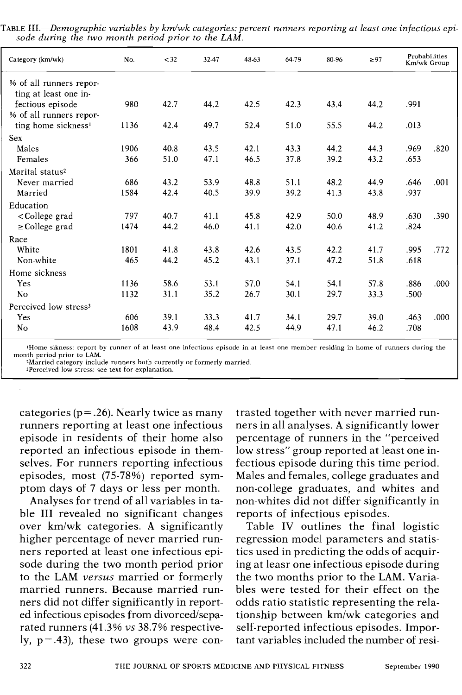| Category (km/wk)                                                                                                                                       | No.  | $<$ 32 | 32-47 | 48-63 | 64-79 | 80-96 | $\geq 97$ | Probabilities<br>Km/wk Group |      |
|--------------------------------------------------------------------------------------------------------------------------------------------------------|------|--------|-------|-------|-------|-------|-----------|------------------------------|------|
| % of all runners repor-                                                                                                                                |      |        |       |       |       |       |           |                              |      |
| ting at least one in-                                                                                                                                  |      |        |       |       |       |       |           |                              |      |
| fectious episode                                                                                                                                       | 980  | 42.7   | 44.2  | 42.5  | 42.3  | 43.4  | 44.2      | .991                         |      |
| % of all runners repor-                                                                                                                                |      |        |       |       |       |       |           |                              |      |
| ting home sickness <sup>1</sup>                                                                                                                        | 1136 | 42.4   | 49.7  | 52.4  | 51.0  | 55.5  | 44.2      | .013                         |      |
| <b>Sex</b>                                                                                                                                             |      |        |       |       |       |       |           |                              |      |
| Males                                                                                                                                                  | 1906 | 40.8   | 43.5  | 42.1  | 43.3  | 44.2  | 44.3      | .969                         | .820 |
| Females                                                                                                                                                | 366  | 51.0   | 47.1  | 46.5  | 37.8  | 39.2  | 43.2      | .653                         |      |
| Marital status <sup>2</sup>                                                                                                                            |      |        |       |       |       |       |           |                              |      |
| Never married                                                                                                                                          | 686  | 43.2   | 53.9  | 48.8  | 51.1  | 48.2  | 44.9      | .646                         | .001 |
| Married                                                                                                                                                | 1584 | 42.4   | 40.5  | 39.9  | 39.2  | 41.3  | 43.8      | .937                         |      |
| Education                                                                                                                                              |      |        |       |       |       |       |           |                              |      |
| <college grad<="" td=""><td>797</td><td>40.7</td><td>41.1</td><td>45.8</td><td>42.9</td><td>50.0</td><td>48.9</td><td>.630</td><td>.390</td></college> | 797  | 40.7   | 41.1  | 45.8  | 42.9  | 50.0  | 48.9      | .630                         | .390 |
| $\geq$ College grad                                                                                                                                    | 1474 | 44.2   | 46.0  | 41.1  | 42.0  | 40.6  | 41.2      | .824                         |      |
| Race                                                                                                                                                   |      |        |       |       |       |       |           |                              |      |
| White                                                                                                                                                  | 1801 | 41.8   | 43.8  | 42.6  | 43.5  | 42.2  | 41.7      | .995                         | .772 |
| Non-white                                                                                                                                              | 465  | 44.2   | 45.2  | 43.1  | 37.1  | 47.2  | 51.8      | .618                         |      |
| Home sickness                                                                                                                                          |      |        |       |       |       |       |           |                              |      |
| Yes                                                                                                                                                    | 1136 | 58.6   | 53.1  | 57.0  | 54.1  | 54.1  | 57.8      | .886                         | .000 |
| <b>No</b>                                                                                                                                              | 1132 | 31.1   | 35.2  | 26.7  | 30.1  | 29.7  | 33.3      | .500                         |      |
| Perceived low stress <sup>3</sup>                                                                                                                      |      |        |       |       |       |       |           |                              |      |
| Yes                                                                                                                                                    | 606  | 39.1   | 33.3  | 41.7  | 34.1  | 29.7  | 39.0      | .463                         | .000 |
| N <sub>0</sub>                                                                                                                                         | 1608 | 43.9   | 48.4  | 42.5  | 44.9  | 47.1  | 46.2      | .708                         |      |

TABLE III.—Demographic variables by km/wk categories: percent runners reporting at least one infectious episode during the two month period prior to the LAM.

lHome sikness: report by runner of at least one infectious episode in at least one member residing in home of runners during the month period prior to LAM.

2Married category include runners both currently or formerly married.

3Perceived low stress: see text for explanation.

categories ( $p = 0.26$ ). Nearly twice as many runners reporting at least one infectious episode in residents of their home also reported an infectious episode in themselves. For runners reporting infectious episodes, most (75-78%) reported symptom days of 7 days or less per month.

Analyses for trend of all variables in table 111 revealed no significant changes over km/wk categories. A significantly higher percentage of never married runners reported at least one infectious episode during the two month period prior to the LAM *versus* married or formerly married runners. Because married runners did not differ significantly in reported infectious episodes from divorced/separated runners (41.3% *vs* 38.7% respectively,  $p = .43$ ), these two groups were con-

trasted together with never married runners in all analyses. A significantly lower percentage of runners in the "perceived low stress" group reported at least one infectious episode during this time period. Males and females, college graduates and non-college graduates, and whites and non-whites did not differ significantly in reports of infectious episodes.

Table IV outlines the final logistic regression model parameters and statistics used in predicting the odds of acquiring at leasr one infectious episode during the two months prior to the LAM. Variables were tested for their effect on the odds ratio statistic representing the relationship between km/wk categories and self-reported infectious episodes. Important variables included the number of resi-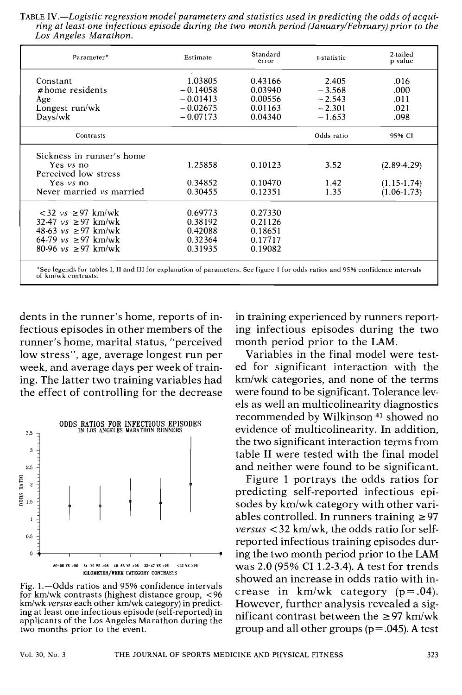TABLE *1V.-Logistic regression model parameters and statistics used in predicting the odds of acquiring at least one infectious episode during the two month period (January/February)prior to the Los Angeles Marathon.* 

| Parameter*                                                                                                                                            | Estimate   | Standard<br>error | t-statistic | 2-tailed<br>p value |
|-------------------------------------------------------------------------------------------------------------------------------------------------------|------------|-------------------|-------------|---------------------|
| Constant                                                                                                                                              | 1.03805    | 0.43166           | 2.405       | .016                |
| $#home$ residents                                                                                                                                     | $-0.14058$ | 0.03940           | $-3.568$    | .000                |
| Age                                                                                                                                                   | $-0.01413$ | 0.00556           | $-2.543$    | .011                |
| Longest run/wk                                                                                                                                        | $-0.02675$ | 0.01163           | $-2.301$    | .021                |
| Days/wk                                                                                                                                               | $-0.07173$ | 0.04340           | $-1.653$    | .098                |
| Contrasts                                                                                                                                             |            |                   | Odds ratio  | 95% CI              |
| Sickness in runner's home                                                                                                                             |            |                   |             |                     |
| Yes $\nu s$ no                                                                                                                                        | 1.25858    | 0.10123           | 3.52        | $(2.89-4.29)$       |
| Perceived low stress                                                                                                                                  |            |                   |             |                     |
| Yes <i>vs</i> no                                                                                                                                      | 0.34852    | 0.10470           | 1.42        | $(1.15 - 1.74)$     |
| Never married vs married                                                                                                                              | 0.30455    | 0.12351           | 1.35        | $(1.06-1.73)$       |
| $<$ 32 $vs \geq 97$ km/wk                                                                                                                             | 0.69773    | 0.27330           |             |                     |
| 32-47 <i>vs</i> ≥97 km/wk                                                                                                                             | 0.38192    | 0.21126           |             |                     |
| 48-63 <i>vs</i> ≥97 km/wk                                                                                                                             | 0.42088    | 0.18651           |             |                     |
| 64-79 $vs \ge 97$ km/wk                                                                                                                               | 0.32364    | 0.17717           |             |                     |
| $80-96$ vs $\geq 97$ km/wk                                                                                                                            | 0.31935    | 0.19082           |             |                     |
| *See legends for tables I, II and III for explanation of parameters. See figure 1 for odds ratios and 95% confidence intervals<br>of km/wk contrasts. |            |                   |             |                     |

dents in the runner's home, reports of infectious episodes in other members of the runner's home, marital status, "perceived low stress", age, average longest run per week, and average days per week of training. The latter two training variables had the effect of controlling for the decrease



**Fig. 1.-Odds ratios and** 95% **confidence intervals for kmlwk contrasts (highest distance group,** <96 km/wk versus each other km/wk category) in predict**ing at least one infectious episode (self-reported) in applicants of the Los Angeles Marathon during the two months prior to the event.** 

in training experienced by runners reporting infectious episodes during the two month period prior to the **LAM.** 

Variables in the final model were tested for significant interaction with the kmlwk categories, and none of the terms were found to be significant. Tolerance levels as well an multicolinearity diagnostics recommended by Wilkinson **41** showed no evidence of multicolinearity. In addition, the two significant interaction terms from table I1 were tested with the final model and neither were found to be significant.

Figure 1 portrays the odds ratios for predicting self-reported infectious episodes by km/wk category with other variables controlled. In runners training **2** 97 *versus* < 32 km/wk, the odds ratio for selfreported infectious training episodes during the two month period prior to the **LAM**  was 2.0 (95% CI 1.2-3.4). **A** test for trends showed an increase in odds ratio with increase in  $km/wk$  category ( $p = .04$ ). However, further analysis revealed a significant contrast between the  $\geq$ 97 km/wk group and all other groups (p = .045). **A** test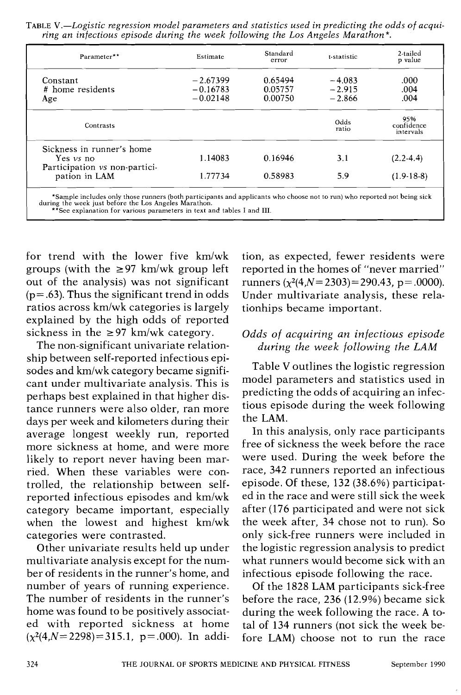TABLE *V.-Logistic regression model parameters and statistics used in predicting the odds of acquiring an infectious episode during the week following the Los Angeles Marathon\*.* 

| Parameter**                                                                  | Estimate                               | Standard<br>error             | t-statistic                      | 2-tailed<br>p value            |
|------------------------------------------------------------------------------|----------------------------------------|-------------------------------|----------------------------------|--------------------------------|
| Constant<br># home residents<br>Age                                          | $-2.67399$<br>$-0.16783$<br>$-0.02148$ | 0.65494<br>0.05757<br>0.00750 | $-4.083$<br>$-2.915$<br>$-2.866$ | .000<br>.004<br>.004           |
| Contrasts                                                                    |                                        |                               | Odds<br>ratio                    | 95%<br>confidence<br>intervals |
| Sickness in runner's home<br>Yes $\nu s$ no<br>Participation vs non-partici- | 1.14083                                | 0.16946                       | 3.1                              | $(2.2-4.4)$                    |
| pation in LAM                                                                | 1.77734                                | 0.58983                       | 5.9                              | $(1.9-18-8)$                   |

\*Sample includes only those runners (both participants and applicants who choose not to run) who reported not being sick<br>during the week just before the Los Angeles Marathon.<br>\*\*See explanation for various parameters in tex

for trend with the lower five km/wk groups (with the  $\geq 97$  km/wk group left out of the analysis) was not significant  $(p=.63)$ . Thus the significant trend in odds ratios across km/wk categories is largely explained by the high odds of reported sickness in the  $\geq$ 97 km/wk category.

The non-significant univariate relationship between self-reported infectious episodes and km/wk category became significant under multivariate analysis. This is perhaps best explained in that higher distance runners were also older, ran more days per week and kilometers during their average longest weekly run, reported more sickness at home, and were more likely to report never having been married. When these variables were controlled, the relationship between selfreported infectious episodes and km/wk category became important, especially when the lowest and highest km/wk categories were contrasted.

Other univariate results held up under multivariate analysis except for the number of residents in the runner's home, and number of years of running experience. The number of residents in the runner's home was found to be positively associated with reported sickness at home  $(x^2(4,N=2298) = 315.1, p = .000)$ . In addition, as expected, fewer residents were reported in the homes of "never married" runners  $(x^2(4,N=2303)=290.43, p=.0000)$ . Under multivariate analysis, these relationhips became important.

# *Odds of acquiring an infectious episode during the week following the LAM*

Table V outlines the logistic regression model parameters and statistics used in predicting the odds of acquiring an infectious episode during the week following the LAM.

In this analysis, only race participants free of sickness the week before the race were used. During the week before the race, 342 runners reported an infectious episode. Of these, 132 (38.6%) participated in the race and were still sick the week after (176 participated and were not sick the week after, 34 chose not to run). So only sick-free runners were included in the logistic regression analysis to predict what runners would become sick with an infectious episode following the race.

Of the 1828 LAM participants sick-free before the race, 236 (12.9%) became sick during the week following the race. A total of 134 runners (not sick the week before LAM) choose not to run the race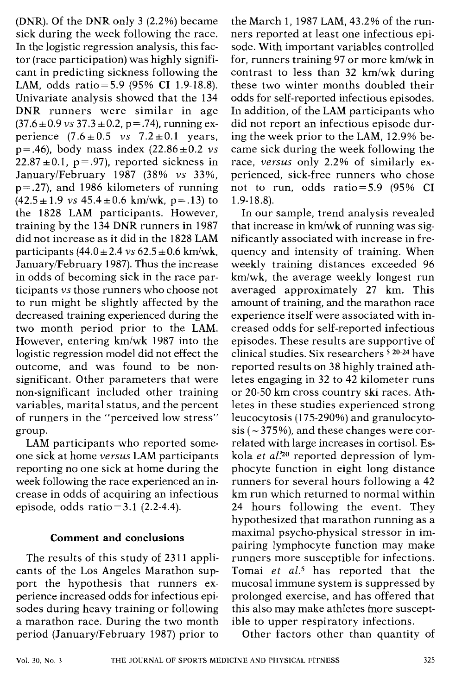(DNR). Of the DNR only 3 (2.2%) became sick during the week following the race. In the logistic regression analysis, this factor (race participation) was highly significant in predicting sickness following the LAM, odds ratio=5.9 (95% CI 1.9-18.8). Univariate analysis showed that the 134 DNR runners were similar in age  $(37.6 \pm 0.9 \text{ vs } 37.3 \pm 0.2, \text{ p} = .74)$ , running experience  $(7.6 \pm 0.5 \text{ vs } 7.2 \pm 0.1 \text{ years})$  $p = .46$ ), body mass index  $(22.86 \pm 0.2 \text{ vs.}$  $22.87 \pm 0.1$ , p = .97), reported sickness in JanuarylFebruary 1987 (38% **vs** 33%, p=.27), and 1986 kilometers of running  $(42.5 \pm 1.9 \text{ vs } 45.4 \pm 0.6 \text{ km/wk}, p = .13)$  to the 1828 LAM participants. However, training by the 134 DNR runners in 1987 did not increase as it did in the 1828 LAM participants  $(44.0 \pm 2.4 \text{ vs } 62.5 \pm 0.6 \text{ km/wk})$ . January/February 1987). Thus the increase in odds of becoming sick in the race participants **vs** those runners who choose not to run might be slightly affected by the decreased training experienced during the two month period prior to the LAM. However, entering km/wk 1987 into the logistic regression model did not effect the outcome, and was found to be nonsignificant. Other parameters that were nonsignificant included other training variables, marital status, and the percent of runners in the "perceived low stress" group.

LAM participants who reported someone sick at home **versus** LAM participants reporting no one sick at home during the week following the race experienced an increase in odds of acquiring an infectious episode, odds ratio =  $3.1$  (2.2-4.4).

#### **Comment and conclusions**

The results of this study of 2311 applicants of the Los Angeles Marathon support the hypothesis that runners experience increased odds for infectious episodes during heavy training or following a marathon race. During the two month period (JanuarylFebruary 1987) prior to the March 1, 1987 LAM, 43.2% of the runners reported at least one infectious episode. With important variables controlled for, runners training 97 or more  $km/wk$  in contrast to less than  $32 \text{ km/wk}$  during these two winter months doubled their odds for self-reported infectious episodes. In addition, of the LAM participants who did not report an infectious episode during the week prior to the LAM, 12.9% became sick during the week following the race, **versus** only 2.2% of similarly experienced, sick-free runners who chose not to run, odds ratio=5.9 (95% CI 1.9-18.8).

In our sample, trend analysis revealed that increase in km/wk of running was significantly associated with increase in frequency and intensity of training. When weekly training distances exceeded 96 km/wk, the average weekly longest run averaged approximately 27 km. This amount of training, and the marathon race experience itself were associated with increased odds for self-reported infectious episodes. These results are supportive of clinical studies. Six researchers **20-24** have reported results on 38 highly trained athletes engaging in 32 to 42 kilometer runs or 20-50 km cross country ski races. Athletes in these studies experienced strong leucocytosis (175-290%) and granulocytosis ( $\sim$  375%), and these changes were correlated with large increases in cortisol. Eskola **et** *al?O* reported depression of lymphocyte function in eight long distance runners for several hours following a 42 km run which returned to normal within 24 hours following the event. They hypothesized that marathon running as a maximal psycho-physical stressor in impairing lymphocyte function may make runners more susceptible for infections. Tomai **et** *al.5* has reported that the mucosal immune system is suppressed by prolonged exercise, and has offered that this also may make athletes more susceptible to upper respiratory infections.

Other factors other than quantity of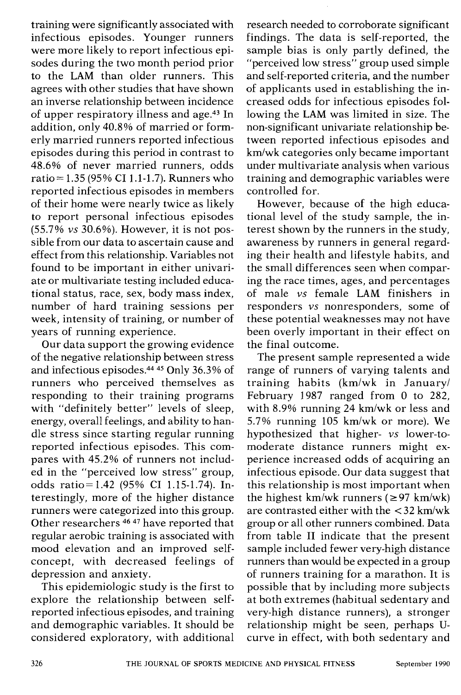training were significantly associated with infectious episodes. Younger runners were more likely to report infectious episodes during the two month period prior to the **LAM** than older runners. This agrees with other studies that have shown an inverse relationship between incidence of upper respiratory illness and age.43 In addition, only 40.8% of married or formerly married runners reported infectious episodes during this period in contrast to 48.6% of never married runners, odds ratio = 1.35 (95% CI 1.1-1.7). Runners who reported infectious episodes in members of their home were nearly twice as likely to report personal infectious episodes (55.7% **vs** 30.6%). However, it is not possible from our data to ascertain cause and effect from this relationship. Variables not found to be important in either univariate or multivariate testing included educational status, race, sex, body mass index, number of hard training sessions per week, intensity of training, or number of years of running experience.

Our data support the growing evidence of the negative relationship between stress and infectious episodes. $44\overline{45}$  Only 36.3% of runners who perceived themselves as responding to their training programs with "definitely better" levels of sleep, energy, overall feelings, and ability to handle stress since starting regular running reported infectious episodes. This compares with 45.2% of runners not included in the "perceived low stress" group, odds ratio= 1.42 (95% CI 1.15-1.74). Interestingly, more of the higher distance runners were categorized into this group. Other researchers 46 **47** have reported that regular aerobic training is associated with mood elevation and an improved selfconcept, with decreased feelings of depression and anxiety.

This epidemiologic study is the first to explore the relationship between selfreported infectious episodes, and training and demographic variables. It should be considered exploratory, with additional

research needed to corroborate significant findings. The data is self-reported, the sample bias is only partly defined, the "perceived low stress" group used simple and self-reported criteria, and the number of applicants used in establishing the increased odds for infectious episodes following the **LAM** was limited in size. The non-significant univariate relationship between reported infectious episodes and km/wk categories only became important under multivariate analysis when various training and demographic variables were controlled for.

However, because of the high educational level of the study sample, the interest shown by the runners in the study, awareness by runners in general regarding their health and lifestyle habits, and the small differences seen when comparing the race times, ages, and percentages of male **vs** female **LAM** finishers in responders **vs** nonresponders, some of these potential weaknesses may not have been overly important in their effect on the final outcome.

The present sample represented a wide range of runners of varying talents and training habits  $(km/wk)$  in January/ February 1987 ranged from 0 to 282, with 8.9% running 24 km/wk or less and 5.7% running 105 km/wk or more). We hypothesized that higher- **vs** lower-tomoderate distance runners might experience increased odds of acquiring an infectious episode. Our data suggest that this relationship is most important when the highest km/wk runners  $(297 \text{ km/wk})$ are contrasted either with the  $\langle 32 \text{ km/wk} \rangle$ group or all other runners combined. Data from table I1 indicate that the present sample included fewer very-high distance runners than would be expected in a group of runners training for a marathon. It is possible that by including more subjects at both extremes (habitual sedentary and very-high distance runners), a stronger relationship might be seen, perhaps Ucurve in effect, with both sedentary and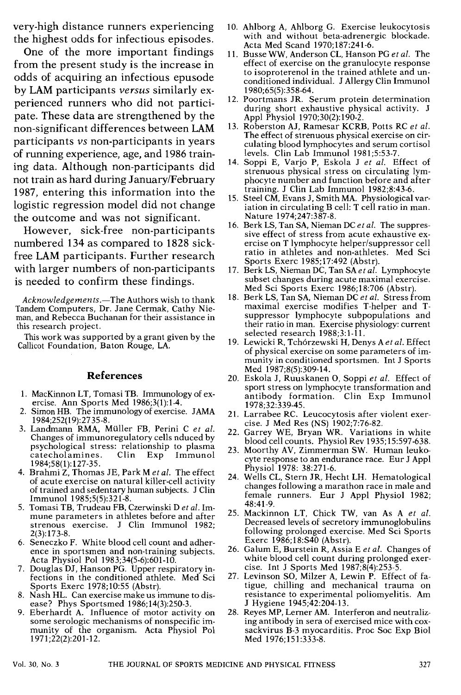very-high distance runners experiencing the highest odds for infectious episodes.

One of the more important findings from the present study is the increase in odds of acquiring an infectious epusode by LAM participants *versus* similarly experienced runners who did not participate. These data are strengthened by the non-significant differences between LAM participants *vs* non-participants in years of running experience, age, and 1986 training data. Although non-participants did not train as hard during January/February 1987, entering this information into the logistic regression model did not change the outcome and was not significant.

However, sick-free non-participants numbered 134 as compared to 1828 sickfree LAM participants. Further research with larger numbers of non-participants is needed to confirm these findings.

*Acknowledgements.-The* Authors wish to thank Tandem Computers, Dr. Jane Cermak, Cathy Nieman, and Rebecca Buchanan for their assistance in this research project.

This work was supported by a grant given by the Callicot Foundation, Baton Rouge, LA.

#### **References**

- 1. MacKinnon LT, Tomasi TB. Immunology of ex- ercise. Ann Sports Med 1986;3(1):1-4.
- 2. Simon HB. The immunology of exercise. JAMA 1984:252(19):2735-8.
- 3. Landmann RMA, Müller FB, Perini C et al. Changes of immunoregulatory cells nduced by psychological stress: relationship to plasma catecholamines. 1984;58(1): 127-35.
- 4. Brahmi Z, Thomas JE, Park M *et al.* The effect of acute exercise on natural killer-cell activity of trained and sedentary human subjects. J Clin Immunol 1985;5(5):321-8.
- 5. Tomasi TB, Trudeau FB, Czenvinski D *et al.* Immune parameters in athletes before and after strenous exercise. J Clin Immunol 1982; 2(3): 173-8.
- 6. Seneczko F. White blood cell count and adherence in sportsmen and non-training subjects. Acta Physiol Pol 1983;34(5-6):601-10.
- 7. Douglas DJ, Hanson PG. Upper respiratory infections in the conditioned athlete. Med Sci Sports Exerc 1978;10:55 (Abstr).
- 8. Nash HL. Can exercise make us immune to disease? Phys Sportsmed 1986;14(3):250-3.
- 9. Eberhardt A. Influence of motor activity on some serologic mechanisms of nonspecific immunity of the organism. Acta Physiol Pol 1971;22(2):201-12.
- 10. Ahlborg A, Ahlborg G. Exercise leukocytosis with and without beta-adrenergic blockade. Acta Med Scand 1970;187:241-6.
- 11. Busse WW, Anderson CL, Hanson PG *et al.* The effect of exercise on the granulocyte response to isoproterenol in the trained athlete and unconditioned individual. J Allergy Clin Immunol 1980;65(5):358-64.
- 12. Poortmans JR. Serum protein determination during short exhaustive physical activity. J Appl Physiol 1970;30(2):190-2.
- 13. Roberston AJ, Ramesar KCRB, Potts RC *et al.*  The effect of strenuous physical exercise on circulating blood lymphocytes and serum cortisol levels. Clin Lab Immunol 1981;5:53-7.
- 14. Soppi E, Varjo P, Eskola J *et al.* Effect of strenuous physical stress on circulating lymphocyte number and function before and after training. J Clin Lab Immunol 1982;8:43-6.<br>15. Steel CM, Evans J, Smith MA. Physiological var-
- iation in circulating B cell: T cell ratio in man. Nature 1974;247:387-8.
- 16. Berk LS, Tan SA, Nieman DC *et al.* The suppresercise on T lymphocyte helper/suppressor cell ratio in athletes and non-athletes. Med Sci Sports Exerc 1985;17:492 (Abstr).
- 17. Berk LS, Nieman DC, Tan SA *et al.* Lymphocyte subset changes during acute maximal exercise. Med Sci Sports Exerc 1986; 18:706 (Abstr).
- 18. Berk LS, Tan SA, Nieman DC *et al.* Stress from maximal exercise modifies T-helper and Tsuppressor lymphocyte subpopulations and their ratio in man. Exercise physiology: current selected research 1988;3:1-11.
- 19. Lewicki R, Tchorzewski H, Denys A *et al.* Effect of physical exercise on some parameters of immunity in conditioned sportsmen. Int J Sports Med 1987;8(5):309-14.
- 20. Eskola J. Ruuskanen O. Soppi et al. Effect of sport stress on lymphocyte transformation and antibody formation. Clin Exp Immunol 1978;32:339-45.
- 21. Larrabee RC. Leucocytosis after violent exercise. J Med Res (NS) 1902;7:76-82.
- 22. Garrey WE, Bryan WR. Variations in white blood cell counts. Physiol Rev 1935; 15:597-638.
- 23. Moorthy AV, Zimmerman SW. Human leukocyte response to an endurance race. Eur J Appl Physiol 1978: 38:271-6.
- Wells CL, Stern JR, Hecht LH. Hematological changes following a marathon race in male and female runners. Eur J Appl Physiol 1982; 48:41-9.
- Mackinnon LT, Chick TW, van As A *et al.*  Decreased levels of secretory immunoglobulins following prolonged exercise. Med Sci Sports Exerc 1986;18:S40 (Abstr).
- Galum E, Burstein R, Assia E *et al.* Changes of white blood cell count during prolonged exercise. Int J Sports Med 1987;8(4):253-5.
- 27. Levinson SO, Milzer A, Lewin P. Effect of fatigue, chilling and mechanical trauma on resistance to experimental poliomyelitis. Am J Hygiene 1945;42:204-13.
- 28. Reyes MP, Lerner AM. Interferon and neutralizing antibody in sera of exercised mice with coxsackvirus B-3 myocarditis. Proc Soc Exp Biol Med 1976;151:333-8.